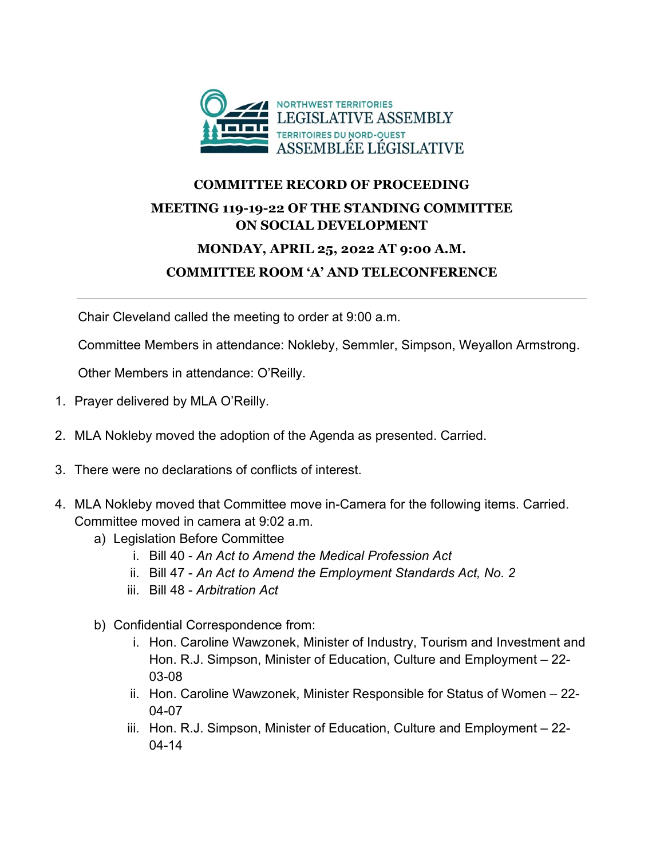

## **COMMITTEE RECORD OF PROCEEDING MEETING 119-19-22 OF THE STANDING COMMITTEE ON SOCIAL DEVELOPMENT**

## **MONDAY, APRIL 25, 2022 AT 9:00 A.M. COMMITTEE ROOM 'A' AND TELECONFERENCE**

Chair Cleveland called the meeting to order at 9:00 a.m.

Committee Members in attendance: Nokleby, Semmler, Simpson, Weyallon Armstrong.

Other Members in attendance: O'Reilly.

- 1. Prayer delivered by MLA O'Reilly.
- 2. MLA Nokleby moved the adoption of the Agenda as presented. Carried.
- 3. There were no declarations of conflicts of interest.
- 4. MLA Nokleby moved that Committee move in-Camera for the following items. Carried. Committee moved in camera at 9:02 a.m.
	- a) Legislation Before Committee
		- i. Bill 40 *An Act to Amend the Medical Profession Act*
		- ii. Bill 47 *An Act to Amend the Employment Standards Act, No. 2*
		- iii. Bill 48 *Arbitration Act*
	- b) Confidential Correspondence from:
		- i. Hon. Caroline Wawzonek, Minister of Industry, Tourism and Investment and Hon. R.J. Simpson, Minister of Education, Culture and Employment – 22- 03-08
		- ii. Hon. Caroline Wawzonek, Minister Responsible for Status of Women 22- 04-07
		- iii. Hon. R.J. Simpson, Minister of Education, Culture and Employment 22- 04-14